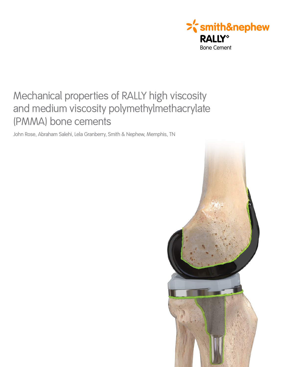

# Mechanical properties of RALLY high viscosity and medium viscosity polymethylmethacrylate (PMMA) bone cements

John Rose, Abraham Salehi, Lela Granberry, Smith & Nephew, Memphis, TN

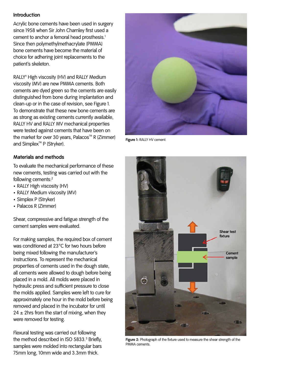## **Introduction**

Acrylic bone cements have been used in surgery since 1958 when Sir John Charnley first used a cement to anchor a femoral head prosthesis.<sup>1</sup> Since then polymethylmethacrylate (PMMA) bone cements have become the material of choice for adhering joint replacements to the patient's skeleton.

RALLY<sup>®</sup> High viscosity (HV) and RALLY Medium viscosity (MV) are new PMMA cements. Both cements are dyed green so the cements are easily distinguished from bone during implantation and clean-up or in the case of revision, see Figure 1. To demonstrate that these new bone cements are as strong as existing cements currently available, RALLY HV and RALLY MV mechanical properties were tested against cements that have been on the market for over 30 years, Palacos<sup> $M$ </sup> R (Zimmer) and Simplex<sup>™</sup> P (Stryker).



**Figure 1:** RALLY HV cement.

## **Materials and methods**

To evaluate the mechanical performance of these new cements, testing was carried out with the following cements:2

- RALLY High viscosity (HV)
- RALLY Medium viscosity (MV)
- Simplex P (Stryker)
- Palacos R (Zimmer)

Shear, compressive and fatigue strength of the cement samples were evaluated.

For making samples, the required box of cement was conditioned at 23°C for two hours before being mixed following the manufacturer's instructions. To represent the mechanical properties of cements used in the dough state, all cements were allowed to dough before being placed in a mold. All molds were placed in hydraulic press and sufficient pressure to close the molds applied. Samples were left to cure for approximately one hour in the mold before being removed and placed in the incubator for until  $24 \pm 2$ hrs from the start of mixing, when they were removed for testing.

Flexural testing was carried out following the method described in ISO 5833.<sup>3</sup> Briefly, samples were molded into rectangular bars 75mm long, 10mm wide and 3.3mm thick.



**Figure 2:** Photograph of the fixture used to measure the shear strength of the PMMA cements.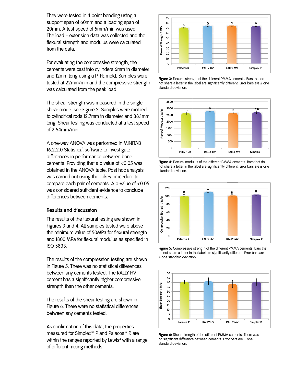They were tested in 4 point bending using a support span of 60mm and a loading span of 20mm. A test speed of 5mm/min was used. The load – extension data was collected and the flexural strength and modulus were calculated from the data.

For evaluating the compressive strength, the cements were cast into cylinders 6mm in diameter and 12mm long using a PTFE mold. Samples were tested at 22mm/min and the compressive strength was calculated from the peak load.

The shear strength was measured in the single shear mode, see Figure 2. Samples were molded to cylindrical rods 12.7mm in diameter and 38.1mm long. Shear testing was conducted at a test speed of 2.54mm/min.

A one-way ANOVA was performed in MINITAB 16.2.2.0 Statistical software to investigate differences in performance between bone cements. Providing that a p value of <0.05 was obtained in the ANOVA table. Post hoc analysis was carried out using the Tukey procedure to compare each pair of cements. A p-value of <0.05 was considered sufficient evidence to conclude differences between cements.

#### **Results and discussion**

The results of the flexural testing are shown in Figures 3 and 4. All samples tested were above the minimum value of 50MPa for flexural strength and 1800 MPa for flexural modulus as specified in ISO 5833.

The results of the compression testing are shown in Figure 5. There was no statistical differences between any cements tested. The RALLY HV cement has a significantly higher compressive strength than the other cements.

The results of the shear testing are shown in Figure 6. There were no statistical differences between any cements tested.

As confirmation of this data, the properties measured for Simplex<sup>™</sup> P and Palacos<sup>™</sup> R are within the ranges reported by Lewis $\!4$  with a range of different mixing methods.



**50** Share a letter in the label are significantly different. Error bars are  $\pm$  one **10 RALLY HV RALLY MV RALLY R Palacos R Simplex Palacos R Simplex P Figure 3:** Flexural strength of the different PMMA cements. Bars that do standard deviation.



**Figure 4:** Flexural modulus of the different PMMA cements. Bars that do not share a letter in the label are significantly different. Error bars are  $\pm$  one standard deviation.



**Figure 5:** Compressive strength of the different PMMA cements. Bars that do not share a letter in the label are significantly different. Error bars are ± one standard deviation.



**Figure 6:** Shear strength of the different PMMA cements. There was no significant difference between cements. Error bars are ± one standard deviation.